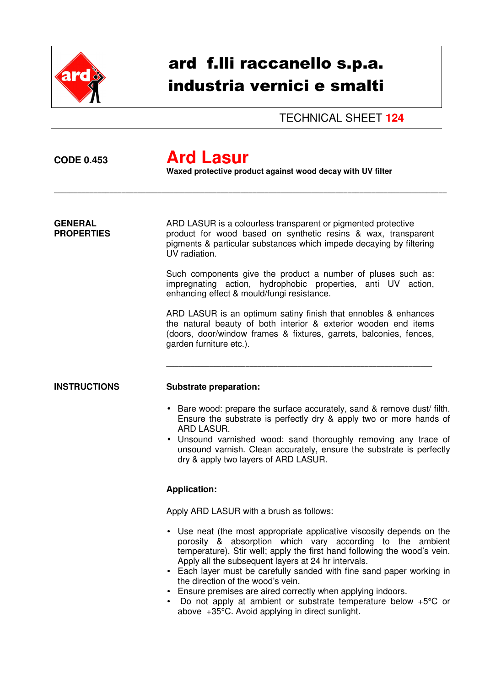

# ard f.lli raccanello s.p.a. industria vernici e smalti

TECHNICAL SHEET **124** 

## **CODE 0.453 Ard Lasur**

 **Waxed protective product against wood decay with UV filter** 

\_\_\_\_\_\_\_\_\_\_\_\_\_\_\_\_\_\_\_\_\_\_\_\_\_\_\_\_\_\_\_\_\_\_\_\_\_\_\_\_\_\_\_\_\_\_\_\_\_\_\_\_\_\_\_\_\_\_\_\_\_\_\_\_\_\_\_\_\_\_\_\_\_\_\_\_\_\_\_\_\_\_\_\_\_\_\_\_\_\_\_\_\_\_\_\_\_\_\_

**GENERAL** ARD LASUR is a colourless transparent or pigmented protective **PROPERTIES product for wood based on synthetic resins & wax, transparent** pigments & particular substances which impede decaying by filtering UV radiation.

> Such components give the product a number of pluses such as: impregnating action, hydrophobic properties, anti UV action, enhancing effect & mould/fungi resistance.

> ARD LASUR is an optimum satiny finish that ennobles & enhances the natural beauty of both interior & exterior wooden end items (doors, door/window frames & fixtures, garrets, balconies, fences, garden furniture etc.).

\_\_\_\_\_\_\_\_\_\_\_\_\_\_\_\_\_\_\_\_\_\_\_\_\_\_\_\_\_\_\_\_\_\_\_\_\_\_\_\_\_\_\_\_\_\_\_\_\_\_\_\_\_\_\_\_\_\_\_\_\_\_\_\_\_\_\_

### **INSTRUCTIONS Substrate preparation:**

- Bare wood: prepare the surface accurately, sand & remove dust/ filth. Ensure the substrate is perfectly dry & apply two or more hands of ARD LASUR.
- Unsound varnished wood: sand thoroughly removing any trace of unsound varnish. Clean accurately, ensure the substrate is perfectly dry & apply two layers of ARD LASUR.

## **Application:**

Apply ARD LASUR with a brush as follows:

- Use neat (the most appropriate applicative viscosity depends on the porosity & absorption which vary according to the ambient temperature). Stir well; apply the first hand following the wood's vein. Apply all the subsequent layers at 24 hr intervals.
- Each layer must be carefully sanded with fine sand paper working in the direction of the wood's vein.
- Ensure premises are aired correctly when applying indoors.
- Do not apply at ambient or substrate temperature below +5°C or above +35°C. Avoid applying in direct sunlight.